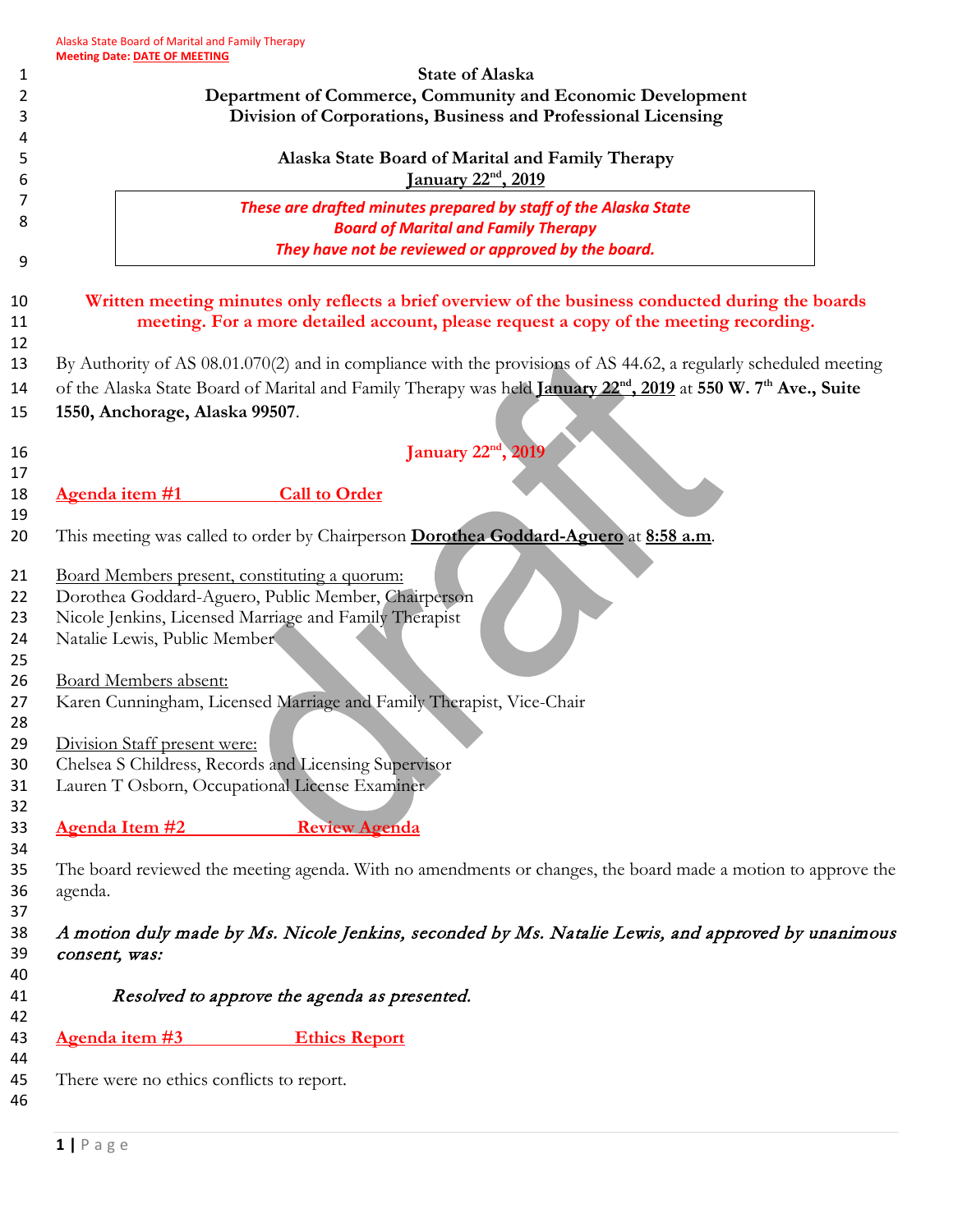|                       |                                | <b>State of Alaska</b>                                                                                                                                                                      |
|-----------------------|--------------------------------|---------------------------------------------------------------------------------------------------------------------------------------------------------------------------------------------|
|                       |                                | Department of Commerce, Community and Economic Development<br>Division of Corporations, Business and Professional Licensing                                                                 |
|                       |                                |                                                                                                                                                                                             |
|                       |                                | Alaska State Board of Marital and Family Therapy<br><u>January 22<sup>nd</sup></u> , 2019                                                                                                   |
|                       |                                | These are drafted minutes prepared by staff of the Alaska State                                                                                                                             |
|                       |                                | <b>Board of Marital and Family Therapy</b>                                                                                                                                                  |
|                       |                                | They have not be reviewed or approved by the board.                                                                                                                                         |
|                       |                                | Written meeting minutes only reflects a brief overview of the business conducted during the boards<br>meeting. For a more detailed account, please request a copy of the meeting recording. |
|                       |                                | By Authority of AS 08.01.070(2) and in compliance with the provisions of AS 44.62, a regularly scheduled meeting                                                                            |
|                       |                                | of the Alaska State Board of Marital and Family Therapy was held January 22 <sup>nd</sup> , 2019 at 550 W. 7 <sup>th</sup> Ave., Suite                                                      |
|                       | 1550, Anchorage, Alaska 99507. |                                                                                                                                                                                             |
|                       |                                | January 22 <sup>nd</sup> , 2019                                                                                                                                                             |
|                       |                                |                                                                                                                                                                                             |
| Agenda item #1        |                                | <b>Call to Order</b>                                                                                                                                                                        |
|                       |                                | This meeting was called to order by Chairperson Dorothea Goddard-Aguero at 8:58 a.m.                                                                                                        |
|                       |                                |                                                                                                                                                                                             |
|                       |                                | Board Members present, constituting a quorum:                                                                                                                                               |
|                       |                                | Dorothea Goddard-Aguero, Public Member, Chairperson                                                                                                                                         |
|                       | Natalie Lewis, Public Member   | Nicole Jenkins, Licensed Marriage and Family Therapist                                                                                                                                      |
|                       |                                |                                                                                                                                                                                             |
|                       | <b>Board Members absent:</b>   |                                                                                                                                                                                             |
|                       |                                | Karen Cunningham, Licensed Marriage and Family Therapist, Vice-Chair                                                                                                                        |
|                       |                                |                                                                                                                                                                                             |
|                       | Division Staff present were:   |                                                                                                                                                                                             |
|                       |                                | Chelsea S Childress, Records and Licensing Supervisor                                                                                                                                       |
|                       |                                | Lauren T Osborn, Occupational License Examiner                                                                                                                                              |
| <b>Agenda Item #2</b> |                                | <b>Review Agenda</b>                                                                                                                                                                        |
|                       |                                |                                                                                                                                                                                             |
|                       |                                | The board reviewed the meeting agenda. With no amendments or changes, the board made a motion to approve the                                                                                |
| agenda.               |                                |                                                                                                                                                                                             |
|                       |                                |                                                                                                                                                                                             |
| consent, was:         |                                | A motion duly made by Ms. Nicole Jenkins, seconded by Ms. Natalie Lewis, and approved by unanimous                                                                                          |
|                       |                                | Resolved to approve the agenda as presented.                                                                                                                                                |
|                       |                                | <b>Ethics Report</b>                                                                                                                                                                        |
| Agenda item #3        |                                |                                                                                                                                                                                             |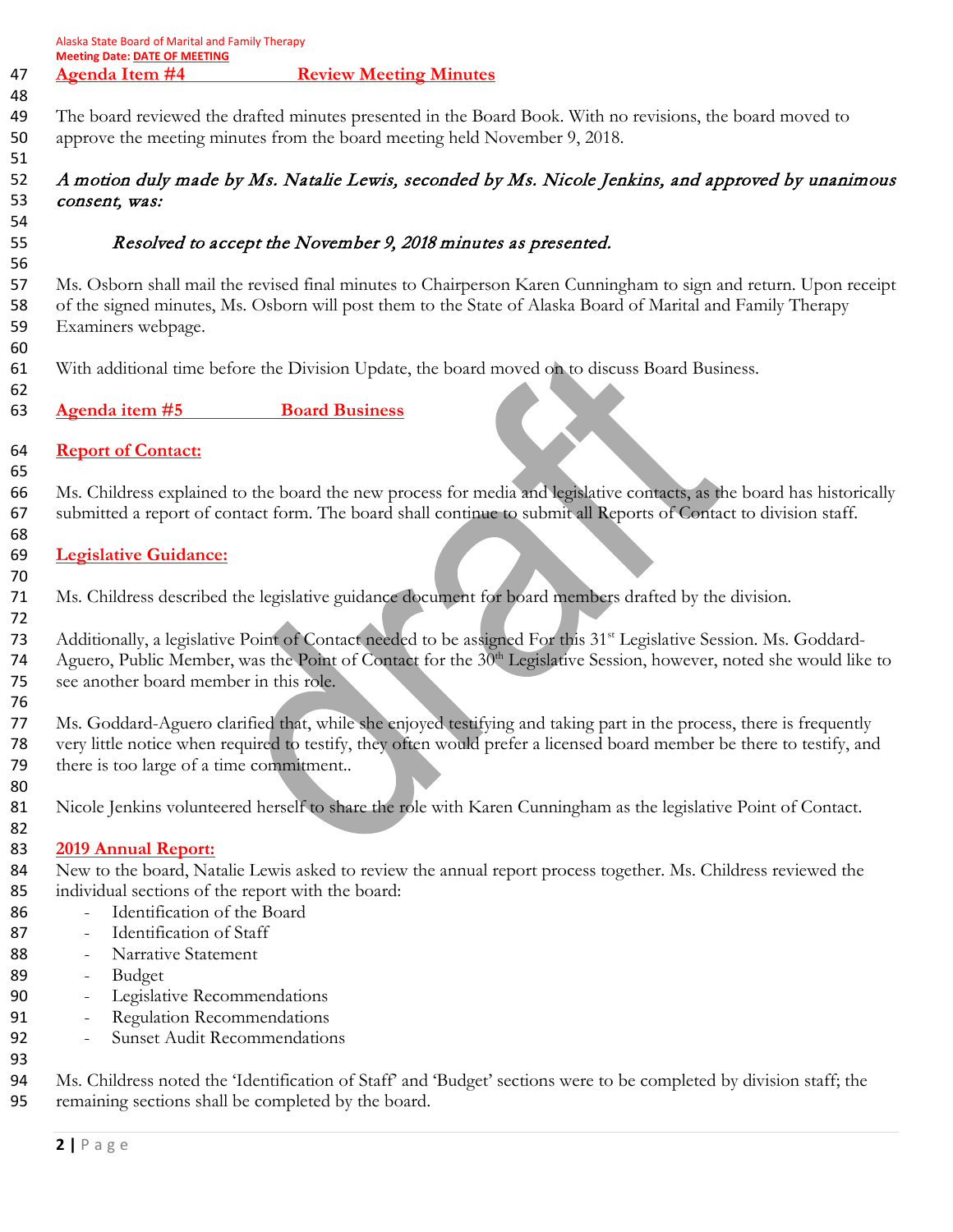| <b>Meeting Date: DATE OF MEETING</b>                                                                                                                                                                                                                                                                       |
|------------------------------------------------------------------------------------------------------------------------------------------------------------------------------------------------------------------------------------------------------------------------------------------------------------|
| <b>Agenda Item #4</b><br><b>Review Meeting Minutes</b>                                                                                                                                                                                                                                                     |
| The board reviewed the drafted minutes presented in the Board Book. With no revisions, the board moved to<br>approve the meeting minutes from the board meeting held November 9, 2018.                                                                                                                     |
| A motion duly made by Ms. Natalie Lewis, seconded by Ms. Nicole Jenkins, and approved by unanimous<br>consent, was:                                                                                                                                                                                        |
| Resolved to accept the November 9, 2018 minutes as presented.                                                                                                                                                                                                                                              |
| Ms. Osborn shall mail the revised final minutes to Chairperson Karen Cunningham to sign and return. Upon receipt<br>of the signed minutes, Ms. Osborn will post them to the State of Alaska Board of Marital and Family Therapy<br>Examiners webpage.                                                      |
| With additional time before the Division Update, the board moved on to discuss Board Business.                                                                                                                                                                                                             |
| <b>Board Business</b><br>Agenda item #5                                                                                                                                                                                                                                                                    |
| <b>Report of Contact:</b>                                                                                                                                                                                                                                                                                  |
| Ms. Childress explained to the board the new process for media and legislative contacts, as the board has historically                                                                                                                                                                                     |
| submitted a report of contact form. The board shall continue to submit all Reports of Contact to division staff.                                                                                                                                                                                           |
| <b>Legislative Guidance:</b>                                                                                                                                                                                                                                                                               |
| Ms. Childress described the legislative guidance document for board members drafted by the division.                                                                                                                                                                                                       |
| Additionally, a legislative Point of Contact needed to be assigned For this 31 <sup>st</sup> Legislative Session. Ms. Goddard-<br>Aguero, Public Member, was the Point of Contact for the 30 <sup>th</sup> Legislative Session, however, noted she would like to<br>see another board member in this role. |
| Ms. Goddard-Aguero clarified that, while she enjoyed testifying and taking part in the process, there is frequently<br>very little notice when required to testify, they often would prefer a licensed board member be there to testify, and<br>there is too large of a time commitment                    |
| Nicole Jenkins volunteered herself to share the role with Karen Cunningham as the legislative Point of Contact.                                                                                                                                                                                            |
| <b>2019 Annual Report:</b>                                                                                                                                                                                                                                                                                 |
| New to the board, Natalie Lewis asked to review the annual report process together. Ms. Childress reviewed the                                                                                                                                                                                             |
| individual sections of the report with the board:<br>Identification of the Board                                                                                                                                                                                                                           |
| Identification of Staff<br>$\qquad \qquad -$                                                                                                                                                                                                                                                               |
| Narrative Statement<br>$\qquad \qquad \blacksquare$                                                                                                                                                                                                                                                        |
| Budget<br>$\qquad \qquad \blacksquare$                                                                                                                                                                                                                                                                     |
| Legislative Recommendations<br>$\qquad \qquad \blacksquare$                                                                                                                                                                                                                                                |
| Regulation Recommendations<br>$\overline{a}$                                                                                                                                                                                                                                                               |
| <b>Sunset Audit Recommendations</b><br>$\overline{a}$                                                                                                                                                                                                                                                      |
| Ms. Childress noted the 'Identification of Staff' and 'Budget' sections were to be completed by division staff; the<br>remaining sections shall be completed by the board.                                                                                                                                 |

Alaska State Board of Marital and Family Therapy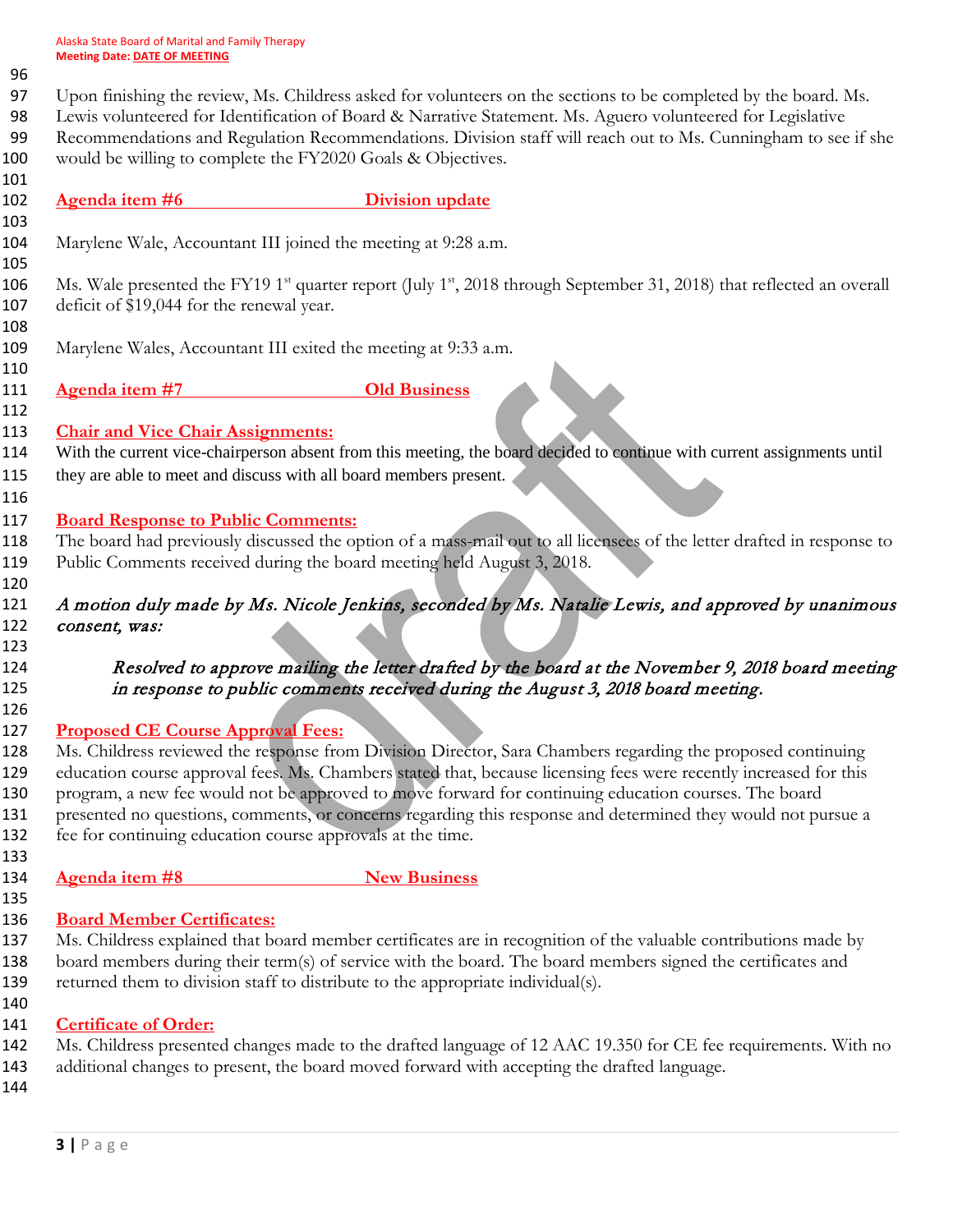# 

Upon finishing the review, Ms. Childress asked for volunteers on the sections to be completed by the board. Ms.

Lewis volunteered for Identification of Board & Narrative Statement. Ms. Aguero volunteered for Legislative

- Recommendations and Regulation Recommendations. Division staff will reach out to Ms. Cunningham to see if she would be willing to complete the FY2020 Goals & Objectives.
- **Agenda item #6** Division update
- 

Marylene Wale, Accountant III joined the meeting at 9:28 a.m.

106 Ms. Wale presented the FY19 1<sup>st</sup> quarter report (July 1<sup>st</sup>, 2018 through September 31, 2018) that reflected an overall deficit of \$19,044 for the renewal year.

- Marylene Wales, Accountant III exited the meeting at 9:33 a.m.
- **Agenda item #7 Old Business**
- 

### **Chair and Vice Chair Assignments:**

114 With the current vice-chairperson absent from this meeting, the board decided to continue with current assignments until 115 they are able to meet and discuss with all board members present.

## **Board Response to Public Comments:**

 The board had previously discussed the option of a mass-mail out to all licensees of the letter drafted in response to Public Comments received during the board meeting held August 3, 2018.

 A motion duly made by Ms. Nicole Jenkins, seconded by Ms. Natalie Lewis, and approved by unanimous 122 consent, was:

 Resolved to approve mailing the letter drafted by the board at the November 9, 2018 board meeting 125 in response to public comments received during the August 3, 2018 board meeting.

### **Proposed CE Course Approval Fees:**

128 Ms. Childress reviewed the response from Division Director, Sara Chambers regarding the proposed continuing 129 education course approval fees. Ms. Chambers stated that, because licensing fees were recently increased for this program, a new fee would not be approved to move forward for continuing education courses. The board presented no questions, comments, or concerns regarding this response and determined they would not pursue a fee for continuing education course approvals at the time.

 **Agenda item #8** New Business 

## **Board Member Certificates:**

- Ms. Childress explained that board member certificates are in recognition of the valuable contributions made by board members during their term(s) of service with the board. The board members signed the certificates and returned them to division staff to distribute to the appropriate individual(s).
- 
- **Certificate of Order:**
- Ms. Childress presented changes made to the drafted language of 12 AAC 19.350 for CE fee requirements. With no
- additional changes to present, the board moved forward with accepting the drafted language.
-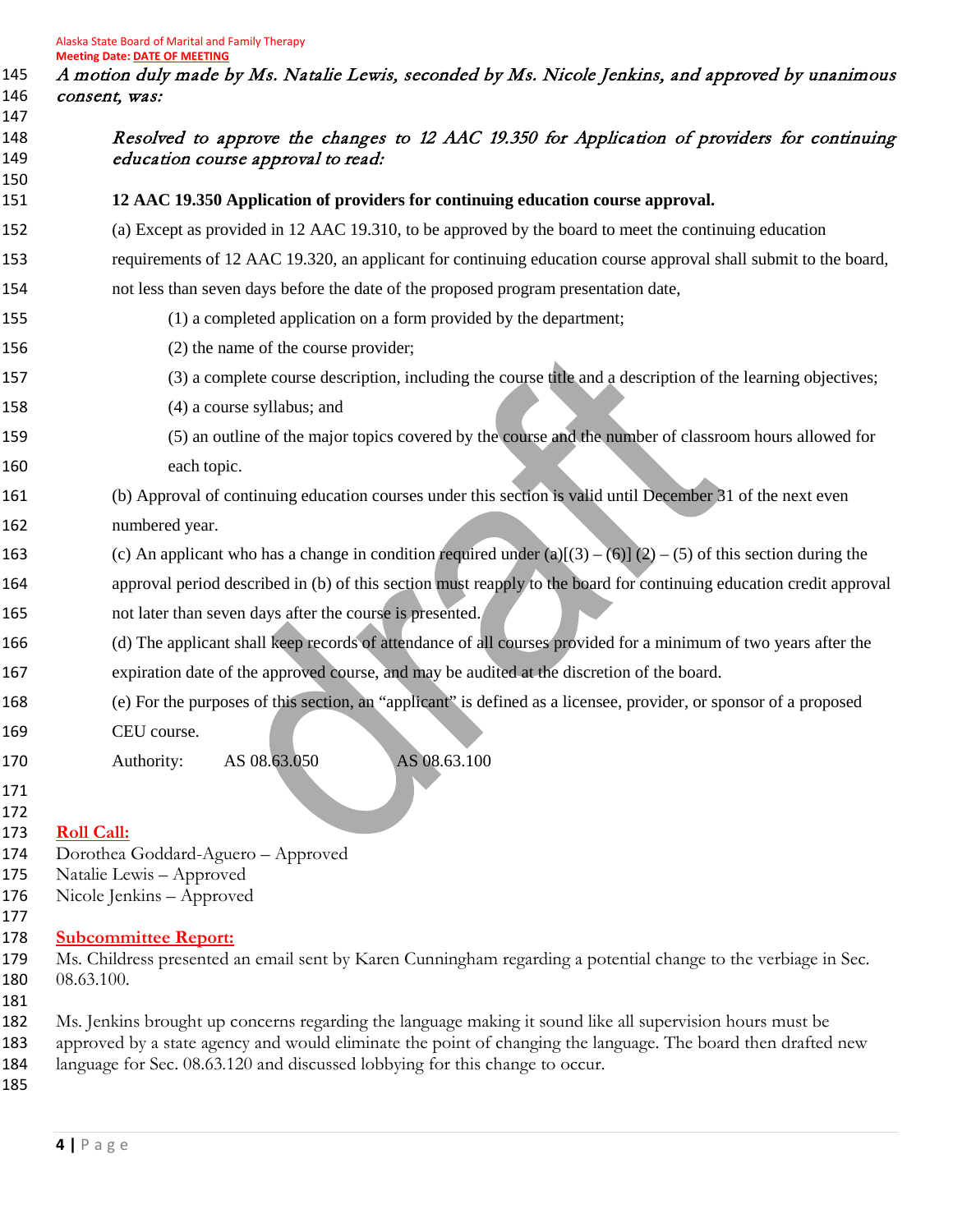A motion duly made by Ms. Natalie Lewis, seconded by Ms. Nicole Jenkins, and approved by unanimous consent, was:

| 147<br>148<br>149 | Resolved to approve the changes to 12 AAC 19.350 for Application of providers for continuing<br>education course approval to read:                                                                                         |
|-------------------|----------------------------------------------------------------------------------------------------------------------------------------------------------------------------------------------------------------------------|
| 150<br>151        | 12 AAC 19.350 Application of providers for continuing education course approval.                                                                                                                                           |
| 152               | (a) Except as provided in 12 AAC 19.310, to be approved by the board to meet the continuing education                                                                                                                      |
| 153               | requirements of 12 AAC 19.320, an applicant for continuing education course approval shall submit to the board,                                                                                                            |
| 154               | not less than seven days before the date of the proposed program presentation date,                                                                                                                                        |
| 155               | (1) a completed application on a form provided by the department;                                                                                                                                                          |
| 156               | (2) the name of the course provider;                                                                                                                                                                                       |
| 157               | (3) a complete course description, including the course title and a description of the learning objectives;                                                                                                                |
| 158               | (4) a course syllabus; and                                                                                                                                                                                                 |
| 159               | (5) an outline of the major topics covered by the course and the number of classroom hours allowed for                                                                                                                     |
| 160               | each topic.                                                                                                                                                                                                                |
| 161               | (b) Approval of continuing education courses under this section is valid until December 31 of the next even                                                                                                                |
| 162               | numbered year.                                                                                                                                                                                                             |
| 163               | (c) An applicant who has a change in condition required under (a)[(3) – (6)] (2) – (5) of this section during the                                                                                                          |
| 164               | approval period described in (b) of this section must reapply to the board for continuing education credit approval                                                                                                        |
| 165               | not later than seven days after the course is presented.                                                                                                                                                                   |
| 166               | (d) The applicant shall keep records of attendance of all courses provided for a minimum of two years after the                                                                                                            |
| 167               | expiration date of the approved course, and may be audited at the discretion of the board.                                                                                                                                 |
| 168               | (e) For the purposes of this section, an "applicant" is defined as a licensee, provider, or sponsor of a proposed                                                                                                          |
| 169               | CEU course.                                                                                                                                                                                                                |
| 170<br>171<br>172 | AS 08.63.050<br>AS 08.63.100<br>Authority:                                                                                                                                                                                 |
| 173               | <b>Roll Call:</b>                                                                                                                                                                                                          |
| 174               | Dorothea Goddard-Aguero - Approved                                                                                                                                                                                         |
| 175<br>176        | Natalie Lewis - Approved<br>Nicole Jenkins - Approved                                                                                                                                                                      |
| 177               |                                                                                                                                                                                                                            |
| 178<br>179        | <b>Subcommittee Report:</b><br>Ms. Childress presented an email sent by Karen Cunningham regarding a potential change to the verbiage in Sec.                                                                              |
| 180               | 08.63.100.                                                                                                                                                                                                                 |
| 181               |                                                                                                                                                                                                                            |
| 182<br>183        | Ms. Jenkins brought up concerns regarding the language making it sound like all supervision hours must be<br>approved by a state agency and would eliminate the point of changing the language. The board then drafted new |
| 184               | language for Sec. 08.63.120 and discussed lobbying for this change to occur.                                                                                                                                               |
| 185               |                                                                                                                                                                                                                            |
|                   |                                                                                                                                                                                                                            |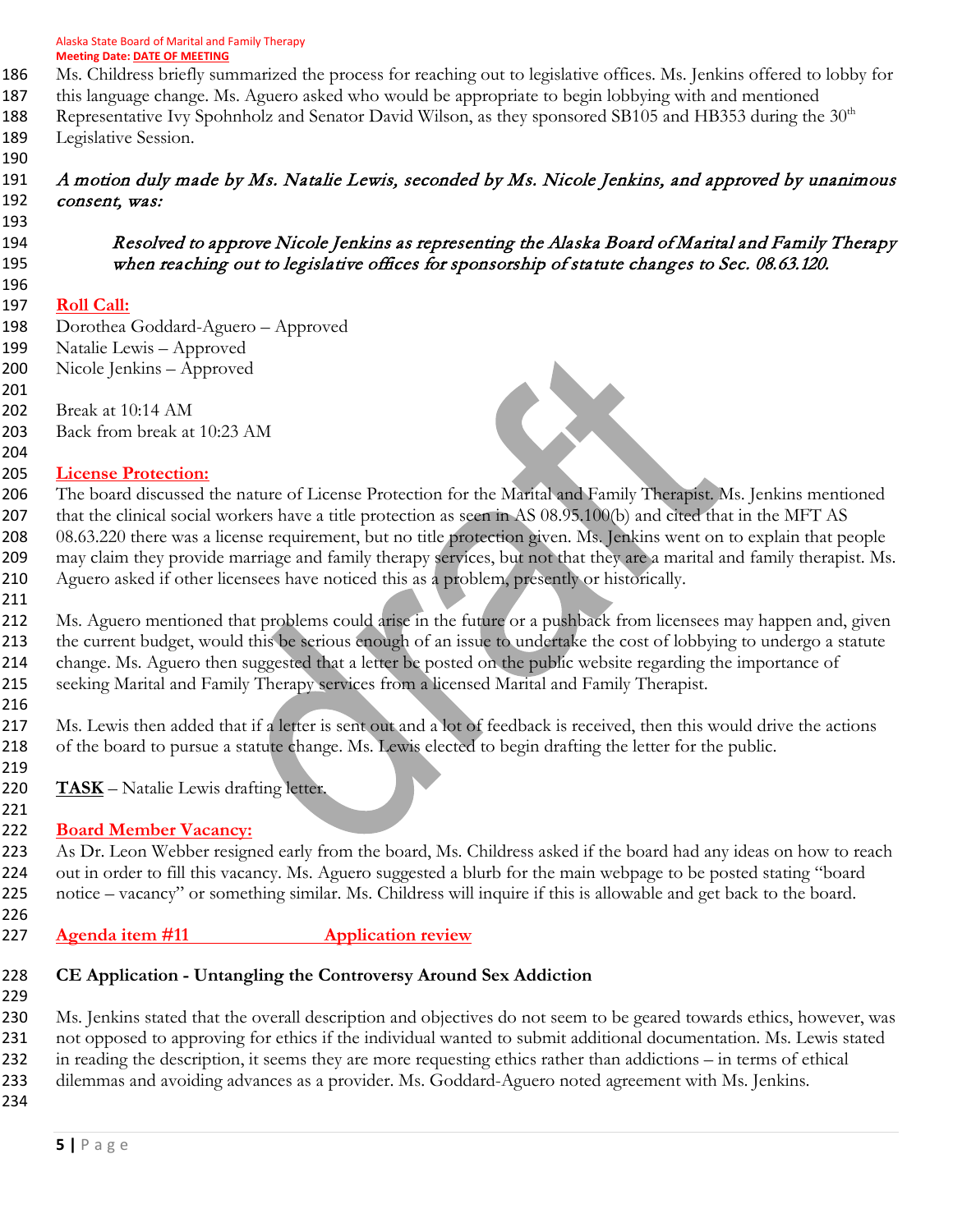- Ms. Childress briefly summarized the process for reaching out to legislative offices. Ms. Jenkins offered to lobby for
- this language change. Ms. Aguero asked who would be appropriate to begin lobbying with and mentioned
- 188 Representative Ivy Spohnholz and Senator David Wilson, as they sponsored SB105 and HB353 during the 30<sup>th</sup> Legislative Session.
- 

#### A motion duly made by Ms. Natalie Lewis, seconded by Ms. Nicole Jenkins, and approved by unanimous 192 consent, was:

 Resolved to approve Nicole Jenkins as representing the Alaska Board of Marital and Family Therapy when reaching out to legislative offices for sponsorship of statute changes to Sec. 08.63.120.

CX

#### **Roll Call:**

- Dorothea Goddard-Aguero Approved
- Natalie Lewis Approved
- Nicole Jenkins Approved
- Break at 10:14 AM Back from break at 10:23 AM
- 

### **License Protection:**

 The board discussed the nature of License Protection for the Marital and Family Therapist. Ms. Jenkins mentioned 207 that the clinical social workers have a title protection as seen in AS 08.95.100(b) and cited that in the MFT AS 08.63.220 there was a license requirement, but no title protection given. Ms. Jenkins went on to explain that people may claim they provide marriage and family therapy services, but not that they are a marital and family therapist. Ms. Aguero asked if other licensees have noticed this as a problem, presently or historically.

212 Ms. Aguero mentioned that problems could arise in the future or a pushback from licensees may happen and, given the current budget, would this be serious enough of an issue to undertake the cost of lobbying to undergo a statute change. Ms. Aguero then suggested that a letter be posted on the public website regarding the importance of seeking Marital and Family Therapy services from a licensed Marital and Family Therapist.

 Ms. Lewis then added that if a letter is sent out and a lot of feedback is received, then this would drive the actions of the board to pursue a statute change. Ms. Lewis elected to begin drafting the letter for the public. 

- **TASK** Natalie Lewis drafting letter.
- 

## **Board Member Vacancy:**

 As Dr. Leon Webber resigned early from the board, Ms. Childress asked if the board had any ideas on how to reach out in order to fill this vacancy. Ms. Aguero suggested a blurb for the main webpage to be posted stating "board notice – vacancy" or something similar. Ms. Childress will inquire if this is allowable and get back to the board. 

## **Agenda item #11 Application review**

# **CE Application - Untangling the Controversy Around Sex Addiction**

 Ms. Jenkins stated that the overall description and objectives do not seem to be geared towards ethics, however, was not opposed to approving for ethics if the individual wanted to submit additional documentation. Ms. Lewis stated in reading the description, it seems they are more requesting ethics rather than addictions – in terms of ethical dilemmas and avoiding advances as a provider. Ms. Goddard-Aguero noted agreement with Ms. Jenkins.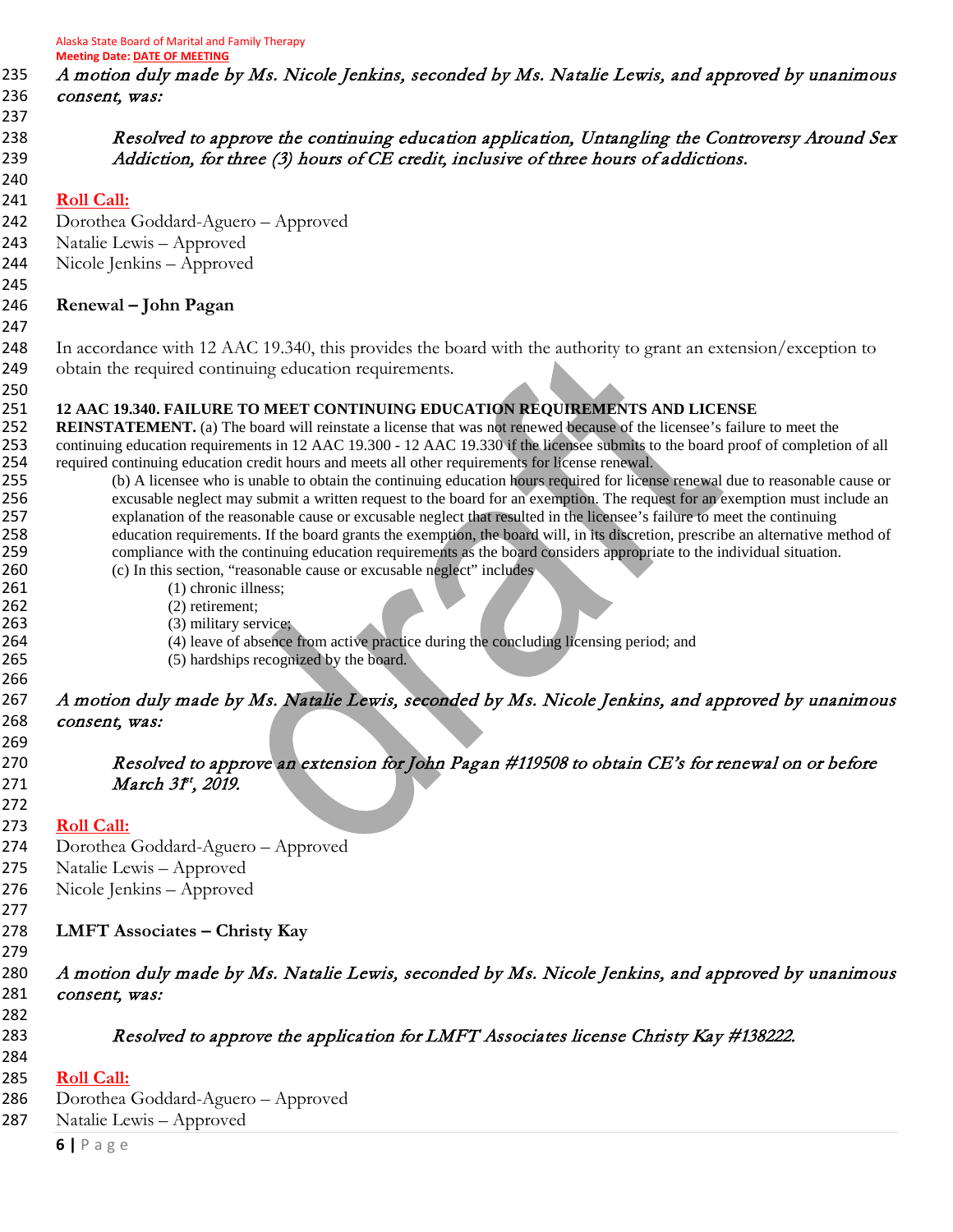A motion duly made by Ms. Nicole Jenkins, seconded by Ms. Natalie Lewis, and approved by unanimous 236 consent, was:

238 Resolved to approve the continuing education application, Untangling the Controversy Around Sex 239 Addiction, for three (3) hours of CE credit, inclusive of three hours of addictions.

#### **Roll Call:**

Dorothea Goddard-Aguero – Approved

Natalie Lewis – Approved

Nicole Jenkins – Approved

#### 

**Renewal – John Pagan**

 In accordance with 12 AAC 19.340, this provides the board with the authority to grant an extension/exception to obtain the required continuing education requirements.

#### **12 AAC 19.340. FAILURE TO MEET CONTINUING EDUCATION REQUIREMENTS AND LICENSE**

**252 REINSTATEMENT.** (a) The board will reinstate a license that was not renewed because of the licensee's failure to meet the continuing education requirements in 12 AAC 19.300 - 12 AAC 19.330 if the licensee submits to the board proof of completion of all 254 required continuing education credit hours and meets all other requirements for license renewal.

 (b) A licensee who is unable to obtain the continuing education hours required for license renewal due to reasonable cause or excusable neglect may submit a written request to the board for an exemption. The request for an exemption must include an explanation of the reasonable cause or excusable neglect that resulted in the licensee's failure to meet the continuing education requirements. If the board grants the exemption, the board will, in its discretion, prescribe an alternative method of compliance with the continuing education requirements as the board considers appropriate to the individual situation.

(c) In this section, "reasonable cause or excusable neglect" includes

- 261 (1) chronic illness;
- (2) retirement;
- (3) military service;
- (4) leave of absence from active practice during the concluding licensing period; and

(5) hardships recognized by the board.

#### A motion duly made by Ms. Natalie Lewis, seconded by Ms. Nicole Jenkins, and approved by unanimous 268 consent, was:

 Resolved to approve an extension for John Pagan #119508 to obtain CE's for renewal on or before 271 *March 3f<sup>t</sup>*, *2019.* 

**Roll Call:** 

- Dorothea Goddard-Aguero Approved
- Natalie Lewis Approved
- Nicole Jenkins Approved
- 

- **LMFT Associates – Christy Kay**
- 

### A motion duly made by Ms. Natalie Lewis, seconded by Ms. Nicole Jenkins, and approved by unanimous 281 consent, was:

283 Resolved to approve the application for LMFT Associates license Christy Kay #138222.

#### **Roll Call:**

- Dorothea Goddard-Aguero Approved
- Natalie Lewis Approved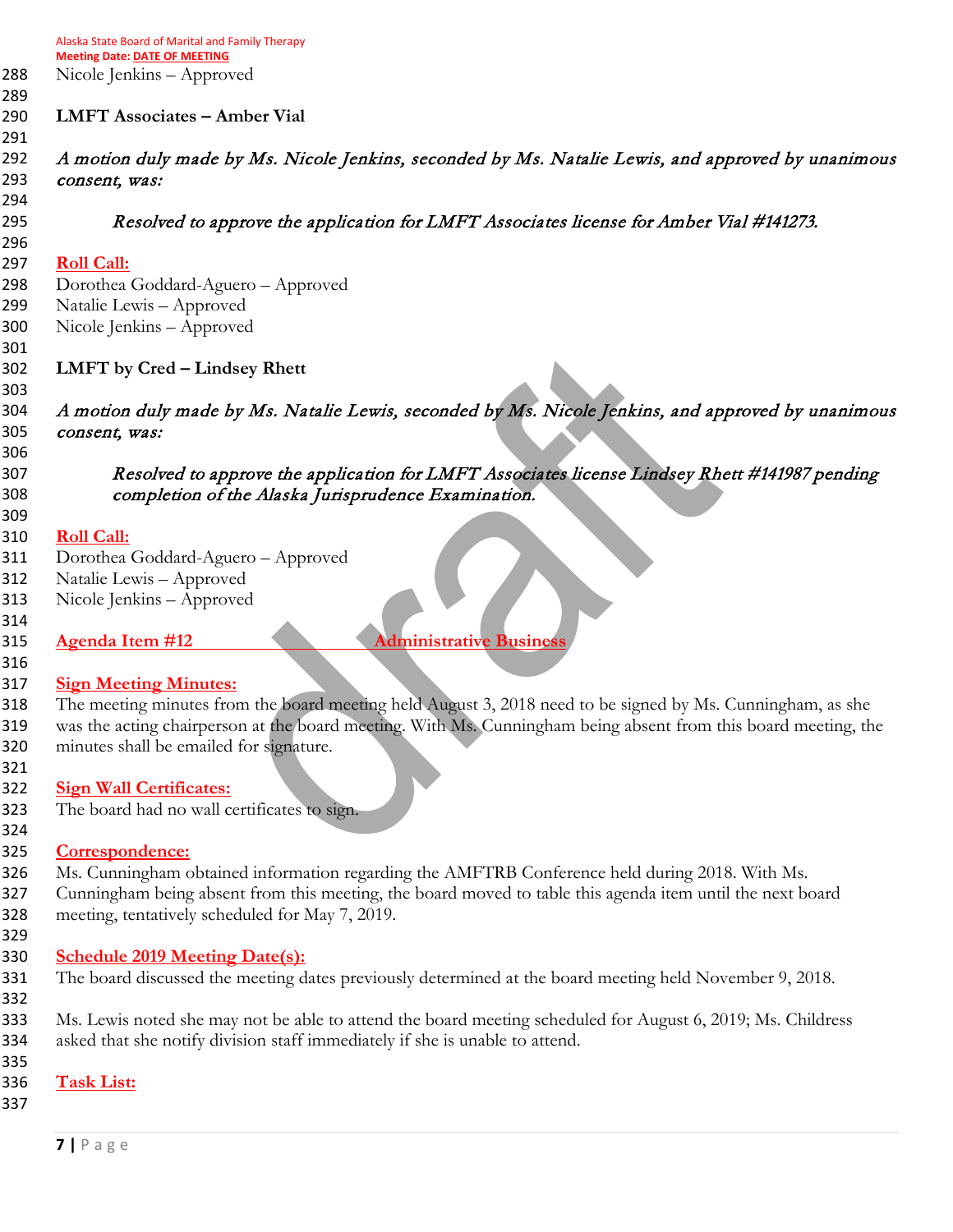Nicole Jenkins – Approved

#### **LMFT Associates – Amber Vial**

 A motion duly made by Ms. Nicole Jenkins, seconded by Ms. Natalie Lewis, and approved by unanimous 293 consent, was:

Resolved to approve the application for LMFT Associates license for Amber Vial #141273.

### **Roll Call:**

 Dorothea Goddard-Aguero – Approved Natalie Lewis – Approved

- Nicole Jenkins Approved
- **LMFT by Cred – Lindsey Rhett**

 A motion duly made by Ms. Natalie Lewis, seconded by Ms. Nicole Jenkins, and approved by unanimous 305 consent, was:

 Resolved to approve the application for LMFT Associates license Lindsey Rhett #141987 pending completion of the Alaska Jurisprudence Examination.

#### **Roll Call:**

- Dorothea Goddard-Aguero Approved
- Natalie Lewis Approved
- Nicole Jenkins Approved
- 

**Agenda Item #12** Administrative Busines

### **Sign Meeting Minutes:**

 The meeting minutes from the board meeting held August 3, 2018 need to be signed by Ms. Cunningham, as she 319 was the acting chairperson at the board meeting. With Ms. Cunningham being absent from this board meeting, the minutes shall be emailed for signature.

### **Sign Wall Certificates:**

- The board had no wall certificates to sign.
- 

#### **Correspondence:**

- Ms. Cunningham obtained information regarding the AMFTRB Conference held during 2018. With Ms.
- Cunningham being absent from this meeting, the board moved to table this agenda item until the next board meeting, tentatively scheduled for May 7, 2019.
- 

### **Schedule 2019 Meeting Date(s):**

- The board discussed the meeting dates previously determined at the board meeting held November 9, 2018.
- 

 Ms. Lewis noted she may not be able to attend the board meeting scheduled for August 6, 2019; Ms. Childress asked that she notify division staff immediately if she is unable to attend.

#### **Task List:**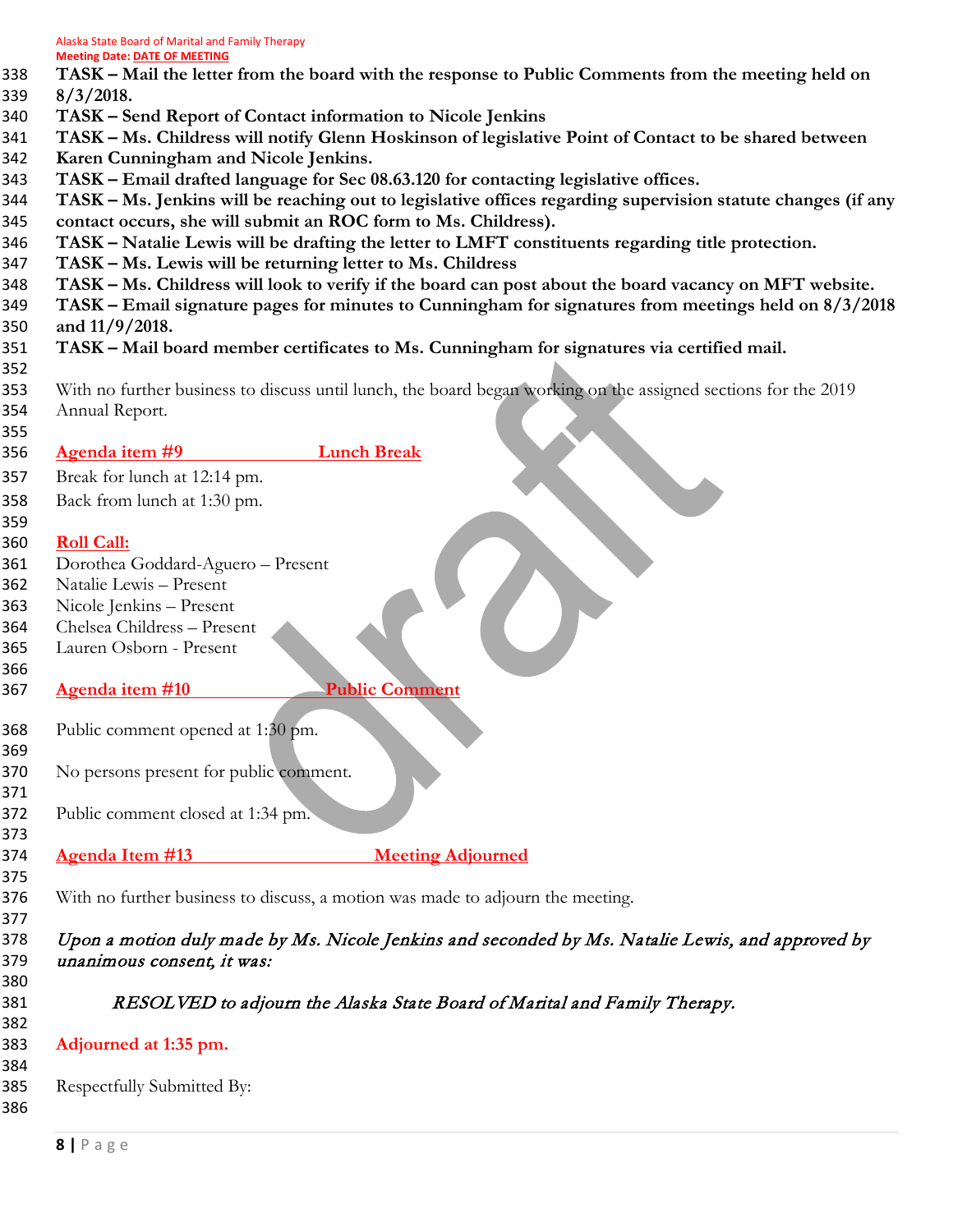- **TASK – Mail the letter from the board with the response to Public Comments from the meeting held on 8/3/2018.**
- **TASK – Send Report of Contact information to Nicole Jenkins**
- **TASK – Ms. Childress will notify Glenn Hoskinson of legislative Point of Contact to be shared between**
- **Karen Cunningham and Nicole Jenkins.**
- **TASK – Email drafted language for Sec 08.63.120 for contacting legislative offices.**
- **TASK – Ms. Jenkins will be reaching out to legislative offices regarding supervision statute changes (if any contact occurs, she will submit an ROC form to Ms. Childress).**
- **TASK – Natalie Lewis will be drafting the letter to LMFT constituents regarding title protection.**
- 
- **TASK – Ms. Lewis will be returning letter to Ms. Childress**
- **TASK – Ms. Childress will look to verify if the board can post about the board vacancy on MFT website.**
- **TASK – Email signature pages for minutes to Cunningham for signatures from meetings held on 8/3/2018 and 11/9/2018.**
- **TASK – Mail board member certificates to Ms. Cunningham for signatures via certified mail.**
- With no further business to discuss until lunch, the board began working on the assigned sections for the 2019 Annual Report.
- **Agenda item #9 Lunch Break**

Break for lunch at 12:14 pm.

Back from lunch at 1:30 pm.

#### **Roll Call:**

- Dorothea Goddard-Aguero Present
- Natalie Lewis Present
- Nicole Jenkins Present
- Chelsea Childress Present
- Lauren Osborn Present
- 
- 

## **Agenda item #10 Public Comment**

- Public comment opened at 1:30 pm.
- No persons present for public comment.
- Public comment closed at 1:34 pm.
- 
- **Agenda Item #13 Meeting Adjourned**
- 
- With no further business to discuss, a motion was made to adjourn the meeting.

 Upon a motion duly made by Ms. Nicole Jenkins and seconded by Ms. Natalie Lewis, and approved by unanimous consent, it was:

- 
- RESOLVED to adjourn the Alaska State Board of Marital and Family Therapy.
- **Adjourned at 1:35 pm.**
- 

- Respectfully Submitted By:
-